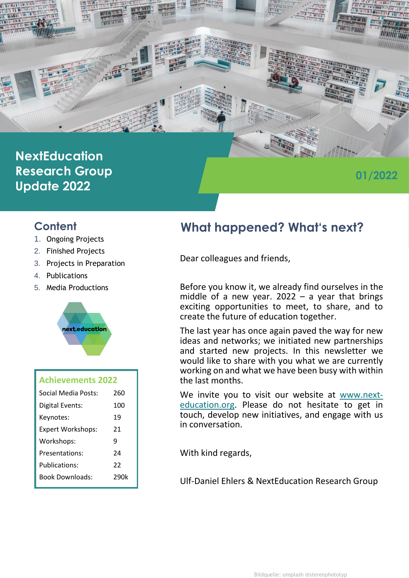

# **NextEducation Research Group Update 2022**

# **01/2022**

## **Content**

- 1. Ongoing Projects
- 2. Finished Projects
- 3. Projects in Preparation
- 4. Publications
- 5. Media Productions



| <b>Achievements 2022</b> |      |
|--------------------------|------|
| Social Media Posts:      | 260  |
| Digital Events:          | 100  |
| Keynotes:                | 19   |
| <b>Expert Workshops:</b> | 21   |
| Workshops:               | ٩    |
| Presentations:           | 24   |
| Publications:            | 22   |
| <b>Book Downloads:</b>   | 290k |
|                          |      |

# **What happened? What's next?**

Dear colleagues and friends,

Before you know it, we already find ourselves in the middle of a new year.  $2022 - a$  year that brings exciting opportunities to meet, to share, and to create the future of education together.

The last year has once again paved the way for new ideas and networks; we initiated new partnerships and started new projects. In this newsletter we would like to share with you what we are currently working on and what we have been busy with within the last months.

We invite you to visit our website at [www.next](http://www.next-education.org/)[education.org.](http://www.next-education.org/) Please do not hesitate to get in touch, develop new initiatives, and engage with us in conversation.

With kind regards,

Ulf-Daniel Ehlers & NextEducation Research Group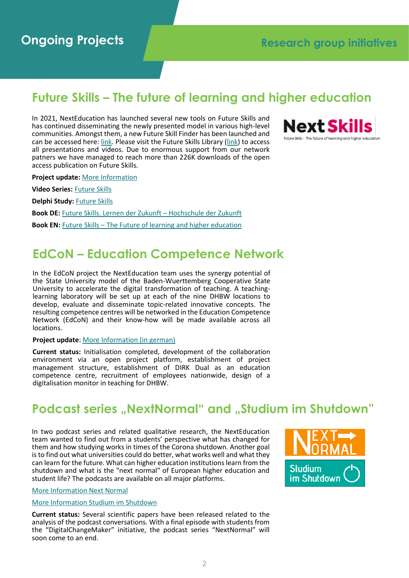## **Future Skills – The future of learning and higher education**

In 2021, NextEducation has launched several new tools on Future Skills and has continued disseminating the newly presented model in various high-level communities. Amongst them, a new Future Skill Finder has been launched and can be accessed here: [link.](https://nextskills.org/future-skills-finder/) Please visit the Future Skills Library [\(link\)](https://nextskills.org/library/) to access all presentations and videos. Due to enormous support from our network patners we have managed to reach more than 226K downloads of the open access publication on Future Skills.



**Project update:** [More Information](https://nextskills.org/)

**Video Series:** [Future Skills](https://nextskills.org/library/video-series/)

**Delphi Study:** [Future Skills](https://nextskills.org/library/future-skills-study/)

**Book DE:** [Future Skills. Lernen der Zukunft](https://nextskills.org/library/future-skills/) – Hochschule der Zukunft

**Book EN:** Future Skills – [The Future of learning and higher education](https://nextskills.org/library/future-skills/)

## **EdCoN – Education Competence Network**

In the EdCoN project the NextEducation team uses the synergy potential of the State University model of the Baden-Wuerttemberg Cooperative State University to accelerate the digital transformation of teaching. A teachinglearning laboratory will be set up at each of the nine DHBW locations to develop, evaluate and disseminate topic-related innovative concepts. The resulting competence centres will be networked in the Education Competence Network (EdCoN) and their know-how will be made available across all locations.

#### **Project update**: [More Information \(in german\)](https://www.dhbw.de/projekte/edcon#c53816)

**Current status:** Initialisation completed, development of the collaboration environment via an open project platform, establishment of project management structure, establishment of DIRK Dual as an education competence centre, recruitment of employees nationwide, design of a digitalisation monitor in teaching for DHBW.

## **Podcast series "NextNormal" and "Studium im Shutdown"**

In two podcast series and related qualitative research, the NextEducation team wanted to find out from a students' perspective what has changed for them and how studying works in times of the Corona shutdown. Another goal is to find out what universities could do better, what works well and what they can learn for the future. What can higher education institutions learn from the shutdown and what is the "next normal" of European higher education and student life? The podcasts are available on all major platforms.



#### [More Information Next Normal](https://next-normal.eu/)

#### [More Information Studium im Shutdown](https://studium-im-shutdown.de/)

**Current status:** Several scientific papers have been released related to the [analysis of the podcast conversations. With a final episode with students from](https://next-normal.eu/)  the "DigitalChangeMaker" initiative, the podcast series "NextNormal" will soon come to an end.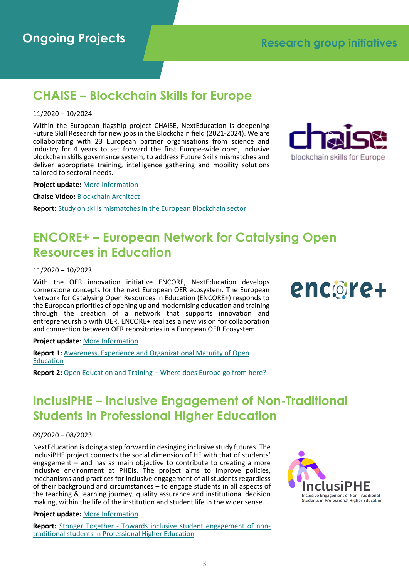# **Ongoing Projects Research group initiatives**

## **CHAISE – Blockchain Skills for Europe**

#### 11/2020 – 10/2024

Within the European flagship project CHAISE, NextEducation is deepening Future Skill Research for new jobs in the Blockchain field (2021-2024). We are collaborating with 23 European partner organisations from science and industry for 4 years to set forward the first Europe-wide open, inclusive blockchain skills governance system, to address Future Skills mismatches and deliver appropriate training, intelligence gathering and mobility solutions tailored to sectoral needs.



**Project update:** [More Information](https://chaise-blockchainskills.eu/)

**Chaise Video:** [Blockchain Architect](https://www.youtube.com/watch?v=Xs6fdtyi_Aw)

**Report:** [Study on skills mismatches in the European Blockchain sector](https://next-education.org/next-education-research-series/#chaise)

# **ENCORE+ – European Network for Catalysing Open Resources in Education**

11/2020 – 10/2023

With the OER innovation initiative ENCORE, NextEducation develops cornerstone concepts for the next European OER ecosystem. The European Network for Catalysing Open Resources in Education (ENCORE+) responds to the European priorities of opening up and modernising education and training through the creation of a network that supports innovation and entrepreneurship with OER. ENCORE+ realizes a new vision for collaboration and connection between OER repositories in a European OER Ecosystem.



#### **Project update**: [More Information](https://encoreproject.eu/)

**Report 1: Awareness, Experience and Organizational Maturity of Open** [Education](https://next-education.org/next-education-research-series/#encore)

**Report 2:** Open Education and Training – [Where does Europe go from here?](https://next-education.org/next-education-research-series/#encore)

## **InclusiPHE – Inclusive Engagement of Non-Traditional Students in Professional Higher Education**

#### 09/2020 – 08/2023

NextEducation is doing a step forward in desinging inclusive study futures. The InclusiPHE project connects the social dimension of HE with that of students' engagement – and has as main objective to contribute to creating a more inclusive environment at PHEIs. The project aims to improve policies, mechanisms and practices for inclusive engagement of all students regardless of their background and circumstances – to engage students in all aspects of the teaching & learning journey, quality assurance and institutional decision making, within the life of the institution and student life in the wider sense.

#### **Project update:** [More Information](https://inclusiphe.eu/)

Report: Stonger Together - [Towards inclusive student engagement of non](https://next-education.org/next-education-research-series/#inclusiphe)[traditional students in Professional Higher Education](https://next-education.org/next-education-research-series/#inclusiphe)

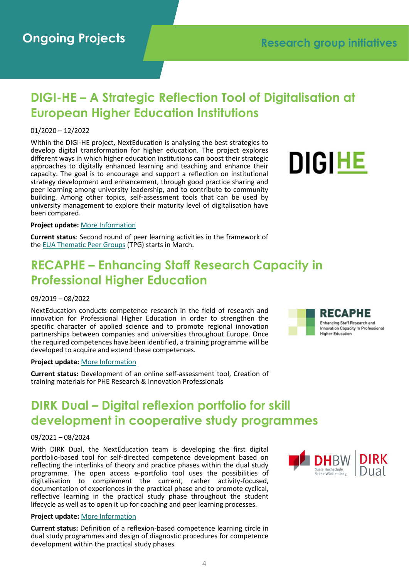## **DIGI-HE – A Strategic Reflection Tool of Digitalisation at European Higher Education Institutions**

#### 01/2020 – 12/2022

Within the DIGI-HE project, NextEducation is analysing the best strategies to develop digital transformation for higher education. The project explores different ways in which higher education institutions can boost their strategic approaches to digitally enhanced learning and teaching and enhance their capacity. The goal is to encourage and support a reflection on institutional strategy development and enhancement, through good practice sharing and peer learning among university leadership, and to contribute to community building. Among other topics, self-assessment tools that can be used by university management to explore their maturity level of digitalisation have been compared.



#### **Project update:** [More Information](https://www.eua.eu/101-projects/772-digi-he.html)

**Current status**: Second round of peer learning activities in the framework of the [EUA Thematic Peer Groups](https://eua.eu/118-uncategorised/814-call-for-participation-in-the-2022-learning-teaching-thematic-peer-groups.html) (TPG) starts in March.

## **RECAPHE – Enhancing Staff Research Capacity in Professional Higher Education**

#### 09/2019 – 08/2022

NextEducation conducts competence research in the field of research and innovation for Professional Higher Education in order to strengthen the specific character of applied science and to promote regional innovation partnerships between companies and universities throughout Europe. Once the required competences have been identified, a training programme will be developed to acquire and extend these competences.

#### **Project update:** [More Information](https://recaphe.eu/)

**Current status:** Development of an online self-assessment tool, Creation of training materials for PHE Research & Innovation Professionals

# **DIRK Dual – Digital reflexion portfolio for skill development in cooperative study programmes**

#### 09/2021 – 08/2024

With DIRK Dual, the NextEducation team is developing the first digital portfolio-based tool for self-directed competence development based on reflecting the interlinks of theory and practice phases within the dual study programme. The open access e-portfolio tool uses the possibilities of digitalisation to complement the current, rather activity-focused, documentation of experiences in the practical phase and to promote cyclical, reflective learning in the practical study phase throughout the student lifecycle as well as to open it up for coaching and peer learning processes.

#### **Project update:** [More Information](https://next-education.org/ongoing-projects/#dirk-dual)

**Current status:** Definition of a reflexion-based competence learning circle in dual study programmes and design of diagnostic procedures for competence development within the practical study phases



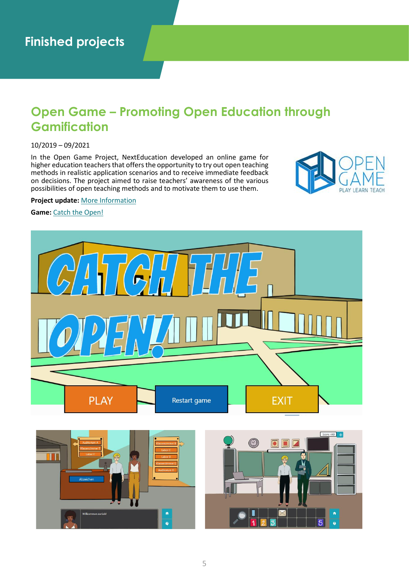## **Open Game – Promoting Open Education through Gamification**

#### 10/2019 – 09/2021

In the Open Game Project, NextEducation developed an online game for higher education teachers that offers the opportunity to try out open teaching methods in realistic application scenarios and to receive immediate feedback on decisions. The project aimed to raise teachers' awareness of the various possibilities of open teaching methods and to motivate them to use them.



#### **Project update:** [More Information](https://opengame-project.eu/)

en zurückl

Game: [Catch the Open!](https://opengame-project.eu/game/)

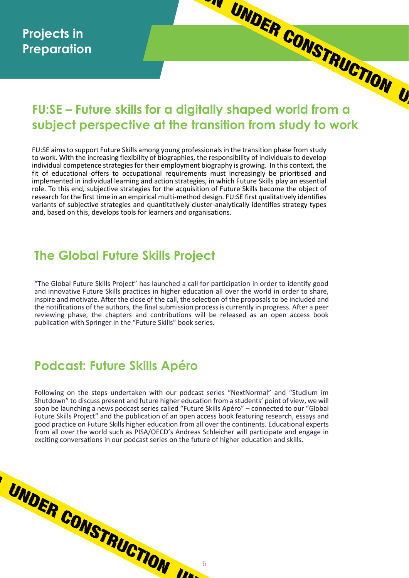# **FU:SE – Future skills for a digitally shaped world from a subject perspective at the transition from study to work**

FU:SE aims to support Future Skills among young professionals in the transition phase from study to work. With the increasing flexibility of biographies, the responsibility of individuals to develop individual competence strategies for their employment biography is growing. In this context, the fit of educational offers to occupational requirements must increasingly be prioritised and implemented in individual learning and action strategies, in which Future Skills play an essential role. To this end, subjective strategies for the acquisition of Future Skills become the object of research for the first time in an empirical multi-method design. FU:SE first qualitatively identifies variants of subjective strategies and quantitatively cluster-analytically identifies strategy types and, based on this, develops tools for learners and organisations.

## **The Global Future Skills Project**

"The Global Future Skills Project" has launched a call for participation in order to identify good and innovative Future Skills practices in higher education all over the world in order to share, inspire and motivate. After the close of the call, the selection of the proposals to be included and the notifications of the authors, the final submission process is currently in progress. After a peer reviewing phase, the chapters and contributions will be released as an open access book publication with Springer in the "Future Skills" book series.

# **Podcast: Future Skills Apéro**

UNDER CONSTRUCTION III.

Following on the steps undertaken with our podcast series "NextNormal" and "Studium im Shutdown" to discuss present and future higher education from a students' point of view, we will soon be launching a news podcast series called "Future Skills Apéro" – connected to our "Global Future Skills Project" and the publication of an open access book featuring research, essays and good practice on Future Skills higher education from all over the continents. Educational experts from all over the world such as PISA/OECD's Andreas Schleicher will participate and engage in exciting conversations in our podcast series on the future of higher education and skills.

6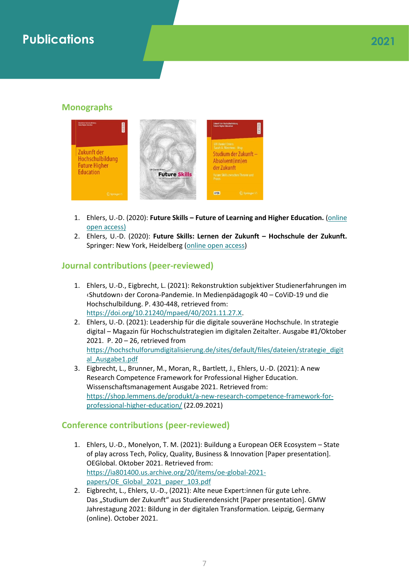# **Publications 2021**

## **Monographs**



- 1. Ehlers, U.-D. (2020): **Future Skills – Future of Learning and Higher Education.** [\(online](http://www.nextskills.org/)  [open access\)](http://www.nextskills.org/)
- 2. Ehlers, U.-D. (2020): **Future Skills: Lernen der Zukunft – Hochschule der Zukunft.** Springer: New York, Heidelberg [\(online open access\)](https://www.springer.com/gp/book/9783658292966)

## **Journal contributions (peer-reviewed)**

- 1. Ehlers, U.-D., Eigbrecht, L. (2021): Rekonstruktion subjektiver Studienerfahrungen im ‹Shutdown› der Corona-Pandemie. In Medienpädagogik 40 – CoViD-19 und die Hochschulbildung. P. 430-448, retrieved from: [https://doi.org/10.21240/mpaed/40/2021.11.27.X.](https://doi.org/10.21240/mpaed/40/2021.11.27.X)
- 2. Ehlers, U.-D. (2021): Leadership für die digitale souveräne Hochschule. In strategie digital – Magazin für Hochschulstrategien im digitalen Zeitalter. Ausgabe #1/Oktober 2021. P. 20 – 26, retrieved from [https://hochschulforumdigitalisierung.de/sites/default/files/dateien/strategie\\_digit](https://hochschulforumdigitalisierung.de/sites/default/files/dateien/strategie_digital_Ausgabe1.pdf) [al\\_Ausgabe1.pdf](https://hochschulforumdigitalisierung.de/sites/default/files/dateien/strategie_digital_Ausgabe1.pdf)
- 3. Eigbrecht, L., Brunner, M., Moran, R., Bartlett, J., Ehlers, U.-D. (2021): A new Research Competence Framework for Professional Higher Education. Wissenschaftsmanagement Ausgabe 2021. Retrieved from: [https://shop.lemmens.de/produkt/a-new-research-competence-framework-for](https://shop.lemmens.de/produkt/a-new-research-competence-framework-for-professional-higher-education/)[professional-higher-education/](https://shop.lemmens.de/produkt/a-new-research-competence-framework-for-professional-higher-education/) (22.09.2021)

## **Conference contributions (peer-reviewed)**

- 1. Ehlers, U.-D., Monelyon, T. M. (2021): Buildung a European OER Ecosystem State of play across Tech, Policy, Quality, Business & Innovation [Paper presentation]. OEGlobal. Oktober 2021. Retrieved from: [https://ia801400.us.archive.org/20/items/oe-global-2021](https://ia801400.us.archive.org/20/items/oe-global-2021-papers/OE_Global_2021_paper_103.pdf) [papers/OE\\_Global\\_2021\\_paper\\_103.pdf](https://ia801400.us.archive.org/20/items/oe-global-2021-papers/OE_Global_2021_paper_103.pdf)
- 2. Eigbrecht, L., Ehlers, U.-D., (2021): Alte neue Expert:innen für gute Lehre. Das "Studium der Zukunft" aus Studierendensicht [Paper presentation]. GMW Jahrestagung 2021: Bildung in der digitalen Transformation. Leipzig, Germany (online). October 2021.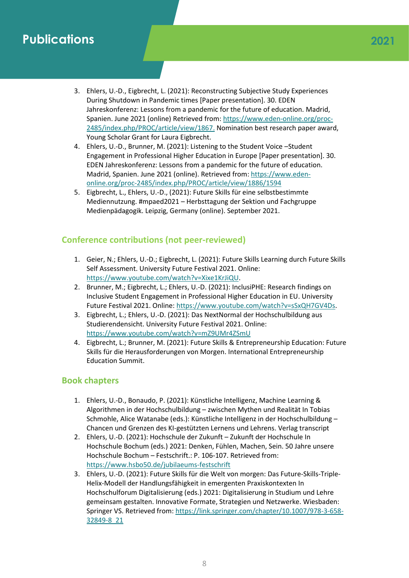# **Publications**

- 3. Ehlers, U.-D., Eigbrecht, L. (2021): Reconstructing Subjective Study Experiences During Shutdown in Pandemic times [Paper presentation]. 30. EDEN Jahreskonferenz: Lessons from a pandemic for the future of education. Madrid, Spanien. June 2021 (online) Retrieved from[: https://www.eden-online.org/proc-](https://www.eden-online.org/proc-2485/index.php/PROC/article/view/1867)[2485/index.php/PROC/article/view/1867.](https://www.eden-online.org/proc-2485/index.php/PROC/article/view/1867) Nomination best research paper award, Young Scholar Grant for Laura Eigbrecht.
- 4. Ehlers, U.-D., Brunner, M. (2021): Listening to the Student Voice –Student Engagement in Professional Higher Education in Europe [Paper presentation]. 30. EDEN Jahreskonferenz: Lessons from a pandemic for the future of education. Madrid, Spanien. June 2021 (online). Retrieved from[: https://www.eden](https://www.eden-online.org/proc-2485/index.php/PROC/article/view/1886/1594)[online.org/proc-2485/index.php/PROC/article/view/1886/1594](https://www.eden-online.org/proc-2485/index.php/PROC/article/view/1886/1594)
- 5. Eigbrecht, L., Ehlers, U.-D., (2021): Future Skills für eine selbstbestimmte Mediennutzung. #mpaed2021 – Herbsttagung der Sektion und Fachgruppe Medienpädagogik. Leipzig, Germany (online). September 2021.

## **Conference contributions (not peer-reviewed)**

- 1. Geier, N.; Ehlers, U.-D.; Eigbrecht, L. (2021): Future Skills Learning durch Future Skills Self Assessment. University Future Festival 2021. Online: [https://www.youtube.com/watch?v=Xixe1KrJiQU.](https://www.youtube.com/watch?v=Xixe1KrJiQU)
- 2. Brunner, M.; Eigbrecht, L.; Ehlers, U.-D. (2021): InclusiPHE: Research findings on Inclusive Student Engagement in Professional Higher Education in EU. University Future Festival 2021. Online[: https://www.youtube.com/watch?v=sSxQH7GV4Ds.](https://www.youtube.com/watch?v=sSxQH7GV4Ds)
- 3. Eigbrecht, L.; Ehlers, U.-D. (2021): Das NextNormal der Hochschulbildung aus Studierendensicht. University Future Festival 2021. Online: <https://www.youtube.com/watch?v=mZ9UMr4ZSmU>
- 4. Eigbrecht, L.; Brunner, M. (2021): Future Skills & Entrepreneurship Education: Future Skills für die Herausforderungen von Morgen. International Entrepreneurship Education Summit.

## **Book chapters**

- 1. Ehlers, U.-D., Bonaudo, P. (2021): Künstliche Intelligenz, Machine Learning & Algorithmen in der Hochschulbildung – zwischen Mythen und Realität In Tobias Schmohle, Alice Watanabe (eds.): Künstliche Intelligenz in der Hochschulbildung – Chancen und Grenzen des KI-gestützten Lernens und Lehrens. Verlag transcript
- 2. Ehlers, U.-D. (2021): Hochschule der Zukunft Zukunft der Hochschule In Hochschule Bochum (eds.) 2021: Denken, Fühlen, Machen, Sein. 50 Jahre unsere Hochschule Bochum – Festschrift.: P. 106-107. Retrieved from: <https://www.hsbo50.de/jubilaeums-festschrift>
- 3. Ehlers, U.-D. (2021): Future Skills für die Welt von morgen: Das Future-Skills-Triple-Helix-Modell der Handlungsfähigkeit in emergenten Praxiskontexten In Hochschulforum Digitalisierung (eds.) 2021: Digitalisierung in Studium und Lehre gemeinsam gestalten. Innovative Formate, Strategien und Netzwerke. Wiesbaden: Springer VS. Retrieved from[: https://link.springer.com/chapter/10.1007/978-3-658-](https://link.springer.com/chapter/10.1007/978-3-658-32849-8_21) [32849-8\\_21](https://link.springer.com/chapter/10.1007/978-3-658-32849-8_21)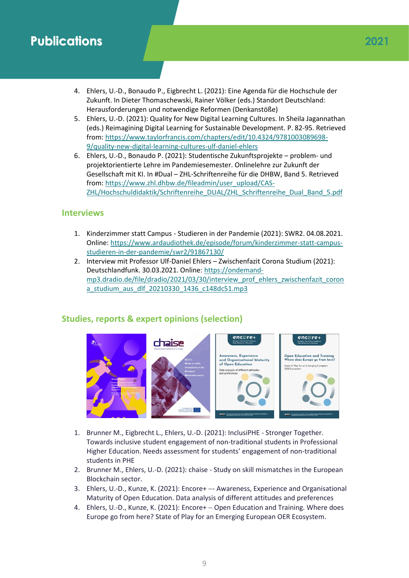## **Publications 2021**

- 4. Ehlers, U.-D., Bonaudo P., Eigbrecht L. (2021): Eine Agenda für die Hochschule der Zukunft. In Dieter Thomaschewski, Rainer Völker (eds.) Standort Deutschland: Herausforderungen und notwendige Reformen (Denkanstöße)
- 5. Ehlers, U.-D. (2021): Quality for New Digital Learning Cultures. In Sheila Jagannathan (eds.) Reimagining Digital Learning for Sustainable Development. P. 82-95. Retrieved from: [https://www.taylorfrancis.com/chapters/edit/10.4324/9781003089698-](https://www.taylorfrancis.com/chapters/edit/10.4324/9781003089698-9/quality-new-digital-learning-cultures-ulf-daniel-ehlers) [9/quality-new-digital-learning-cultures-ulf-daniel-ehlers](https://www.taylorfrancis.com/chapters/edit/10.4324/9781003089698-9/quality-new-digital-learning-cultures-ulf-daniel-ehlers)
- 6. Ehlers, U.-D., Bonaudo P. (2021): Studentische Zukunftsprojekte problem- und projektorientierte Lehre im Pandemiesemester. Onlinelehre zur Zukunft der Gesellschaft mit KI. In #Dual – ZHL-Schriftenreihe für die DHBW, Band 5. Retrieved from: [https://www.zhl.dhbw.de/fileadmin/user\\_upload/CAS-](https://www.zhl.dhbw.de/fileadmin/user_upload/CAS-ZHL/Hochschuldidaktik/Schriftenreihe_DUAL/ZHL_Schriftenreihe_Dual_Band_5.pdf)[ZHL/Hochschuldidaktik/Schriftenreihe\\_DUAL/ZHL\\_Schriftenreihe\\_Dual\\_Band\\_5.pdf](https://www.zhl.dhbw.de/fileadmin/user_upload/CAS-ZHL/Hochschuldidaktik/Schriftenreihe_DUAL/ZHL_Schriftenreihe_Dual_Band_5.pdf)

## **Interviews**

- 1. Kinderzimmer statt Campus Studieren in der Pandemie (2021): SWR2. 04.08.2021. Online: [https://www.ardaudiothek.de/episode/forum/kinderzimmer-statt-campus](https://www.ardaudiothek.de/episode/forum/kinderzimmer-statt-campus-studieren-in-der-pandemie/swr2/91867130/)[studieren-in-der-pandemie/swr2/91867130/](https://www.ardaudiothek.de/episode/forum/kinderzimmer-statt-campus-studieren-in-der-pandemie/swr2/91867130/)
- 2. Interview mit Professor Ulf-Daniel Ehlers Zwischenfazit Corona Studium (2021): Deutschlandfunk. 30.03.2021. Online: [https://ondemand](https://ondemand-mp3.dradio.de/file/dradio/2021/03/30/interview_prof_ehlers_zwischenfazit_corona_studium_aus_dlf_20210330_1436_c148dc51.mp3)[mp3.dradio.de/file/dradio/2021/03/30/interview\\_prof\\_ehlers\\_zwischenfazit\\_coron](https://ondemand-mp3.dradio.de/file/dradio/2021/03/30/interview_prof_ehlers_zwischenfazit_corona_studium_aus_dlf_20210330_1436_c148dc51.mp3) [a\\_studium\\_aus\\_dlf\\_20210330\\_1436\\_c148dc51.mp3](https://ondemand-mp3.dradio.de/file/dradio/2021/03/30/interview_prof_ehlers_zwischenfazit_corona_studium_aus_dlf_20210330_1436_c148dc51.mp3)

## **Studies, reports & expert opinions (selection)**



- 1. Brunner M., Eigbrecht L., Ehlers, U.-D. (2021): InclusiPHE Stronger Together. Towards inclusive student engagement of non-traditional students in Professional Higher Education. Needs assessment for students' engagement of non-traditional students in PHE
- 2. Brunner M., Ehlers, U.-D. (2021): chaise Study on skill mismatches in the European Blockchain sector.
- 3. Ehlers, U.-D., Kunze, K. (2021): Encore+ −- Awareness, Experience and Organisational Maturity of Open Education. Data analysis of different attitudes and preferences
- 4. Ehlers, U.-D., Kunze, K. (2021): Encore+ − Open Education and Training. Where does Europe go from here? State of Play for an Emerging European OER Ecosystem.